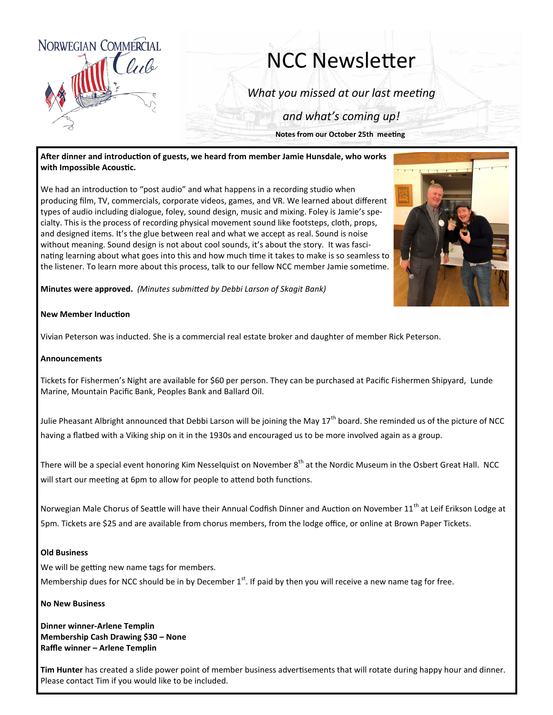

# NCC Newsletter

*What you missed at our last meeting*

*and what's coming up!*

**Notes from our October 25th meeting**

**After dinner and introduction of guests, we heard from member Jamie Hunsdale, who works with Impossible Acoustic.**

We had an introduction to "post audio" and what happens in a recording studio when producing film, TV, commercials, corporate videos, games, and VR. We learned about different types of audio including dialogue, foley, sound design, music and mixing. Foley is Jamie's specialty. This is the process of recording physical movement sound like footsteps, cloth, props, and designed items. It's the glue between real and what we accept as real. Sound is noise without meaning. Sound design is not about cool sounds, it's about the story. It was fascinating learning about what goes into this and how much time it takes to make is so seamless to the listener. To learn more about this process, talk to our fellow NCC member Jamie sometime.



**Minutes were approved.** *(Minutes submitted by Debbi Larson of Skagit Bank)*

#### **New Member Induction**

Vivian Peterson was inducted. She is a commercial real estate broker and daughter of member Rick Peterson.

#### **Announcements**

Tickets for Fishermen's Night are available for \$60 per person. They can be purchased at Pacific Fishermen Shipyard, Lunde Marine, Mountain Pacific Bank, Peoples Bank and Ballard Oil.

Julie Pheasant Albright announced that Debbi Larson will be joining the May 17<sup>th</sup> board. She reminded us of the picture of NCC having a flatbed with a Viking ship on it in the 1930s and encouraged us to be more involved again as a group.

There will be a special event honoring Kim Nesselquist on November  $8<sup>th</sup>$  at the Nordic Museum in the Osbert Great Hall. NCC will start our meeting at 6pm to allow for people to attend both functions.

Norwegian Male Chorus of Seattle will have their Annual Codfish Dinner and Auction on November 11<sup>th</sup> at Leif Erikson Lodge at 5pm. Tickets are \$25 and are available from chorus members, from the lodge office, or online at Brown Paper Tickets.

#### **Old Business**

We will be getting new name tags for members.

Membership dues for NCC should be in by December  $1<sup>st</sup>$ . If paid by then you will receive a new name tag for free.

**No New Business**

**Dinner winner-Arlene Templin Membership Cash Drawing \$30 – None Raffle winner – Arlene Templin**

**Tim Hunter** has created a slide power point of member business advertisements that will rotate during happy hour and dinner. Please contact Tim if you would like to be included.